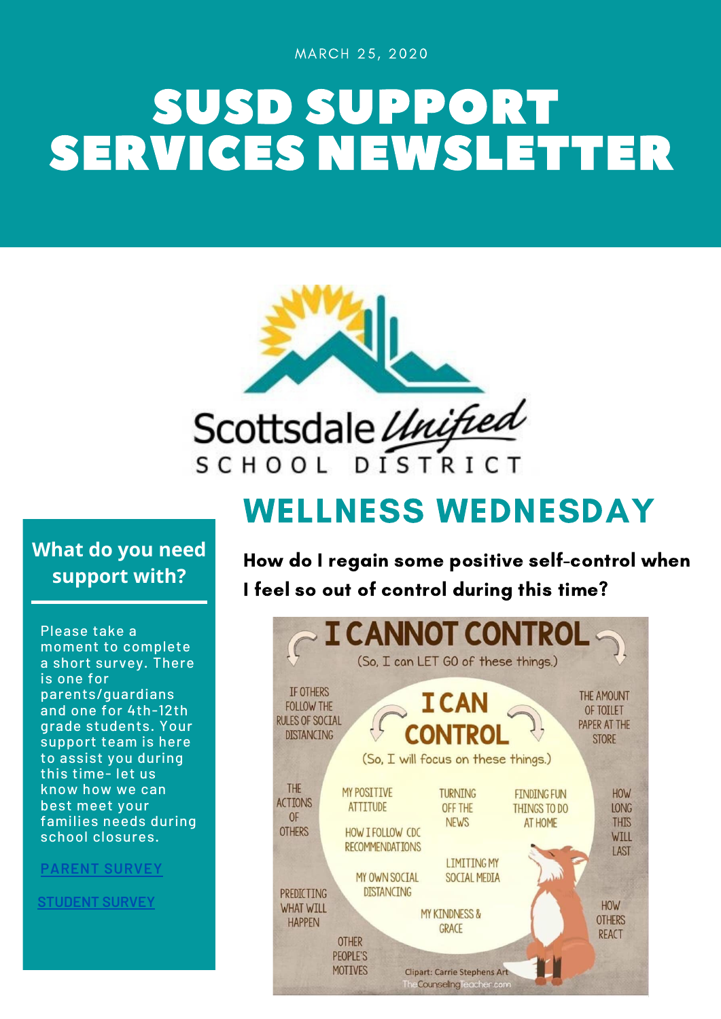MARCH 25, 2020

# SUSD SUPPORT SERVICES NEWSLETTER



WELLNESS WEDNESDAY

**What do you need support with?**

Please take a moment to complete a short survey. There is one for parents/guardians and one for 4th-12th grade students. Your support team is here to assist you during this time- let us know how we can best meet your families needs during school closures.

**[PARENT](https://forms.gle/nXkZUZc1upG3jjdX8) SURVEY**

**[STUDENT](https://forms.gle/aWwDbY7zqQZFR5yz7) SURVEY**

How do I regain some positive self-control when I feel so out of control during this time?

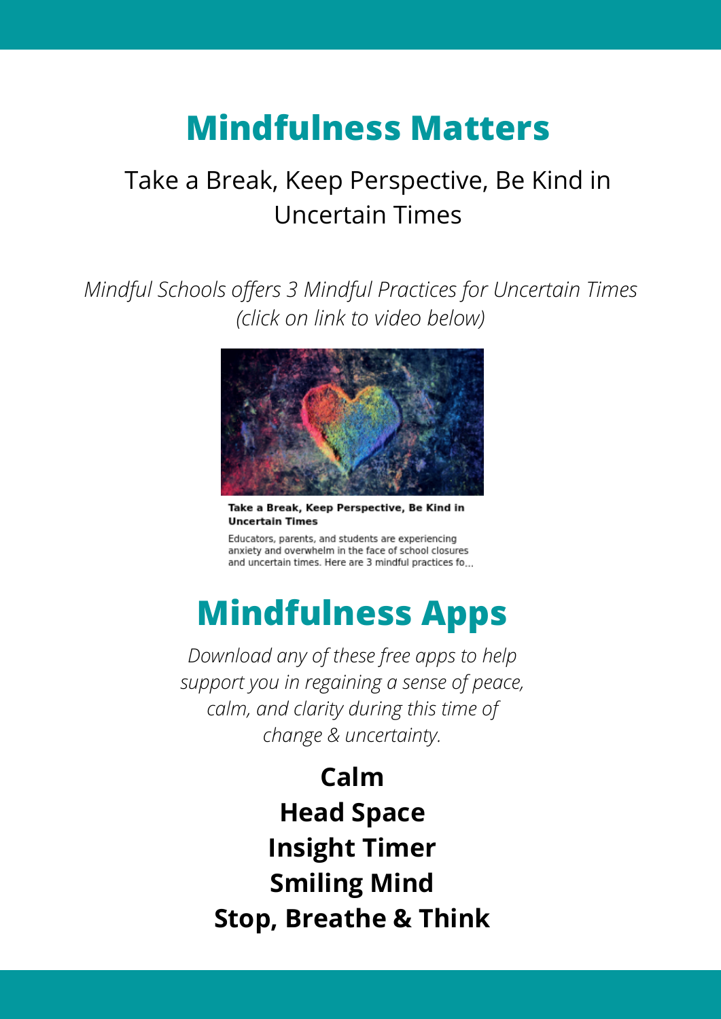# **Mindfulness Matters**

# Take a Break, Keep Perspective, Be Kind in Uncertain Times

*Mindful Schools offers 3 Mindful Practices for Uncertain Times (click on link to video below)*



Take a Break, Keep Perspective, Be Kind in **Uncertain Times** 

Educators, parents, and students are experiencing anxiety and overwhelm in the face of school closures and uncertain times. Here are 3 mindful practices fo...

# **Mindfulness Apps**

*Download any of these free apps to help support you in regaining a sense of peace, calm, and clarity during this time of change & uncertainty.*

**Calm Head Space Insight Timer Smiling Mind Stop, Breathe & Think**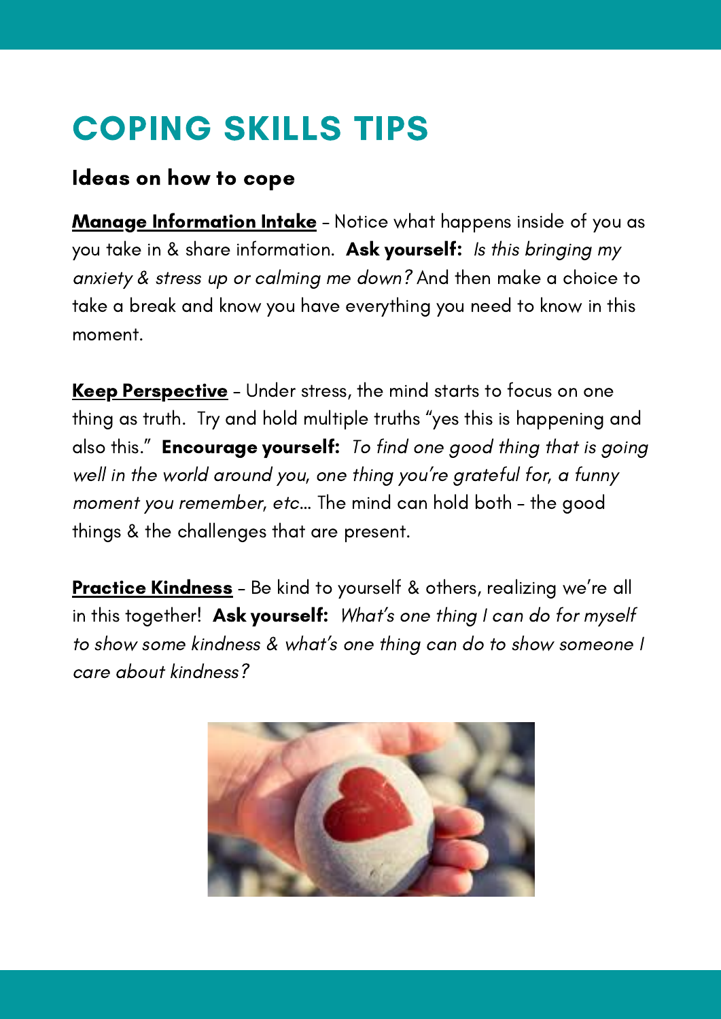# COPING SKILLS TIPS

### Ideas on how to cope

Manage Information Intake - Notice what happens inside of you as you take in & share information. Ask yourself: Is this bringing my anxiety & stress up or calming me down? And then make a choice to take a break and know you have everything you need to know in this moment.

Keep Perspective – Under stress, the mind starts to focus on one thing as truth. Try and hold multiple truths "yes this is happening and also this." **Encourage yourself:** To find one good thing that is going well in the world around you, one thing you're grateful for, a funny moment you remember, etc… The mind can hold both – the good things & the challenges that are present.

Practice Kindness - Be kind to yourself & others, realizing we're all in this together! Ask yourself: What's one thing I can do for myself to show some kindness & what's one thing can do to show someone I care about kindness?

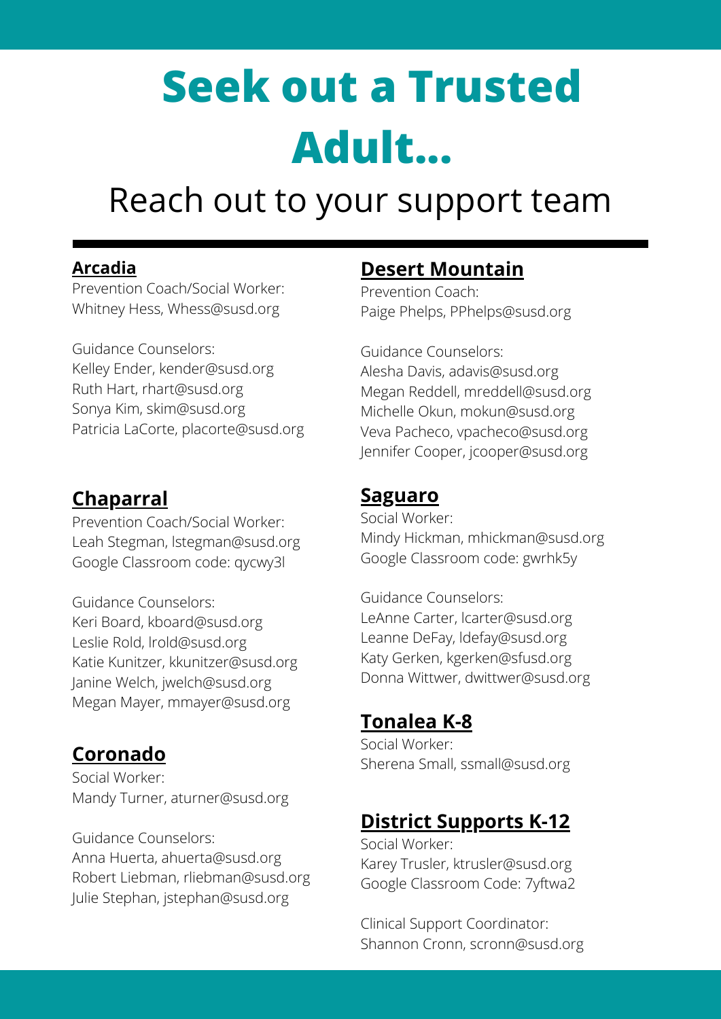# **Seek out a Trusted Adult...**

# Reach out to your support team

#### **Arcadia**

Prevention Coach/Social Worker: Whitney Hess, Whess@susd.org

Guidance Counselors: Kelley Ender, kender@susd.org Ruth Hart, rhart@susd.org Sonya Kim, skim@susd.org Patricia LaCorte, placorte@susd.org

### **Chaparral**

Prevention Coach/Social Worker: Leah Stegman, lstegman@susd.org Google Classroom code: qycwy3l

Guidance Counselors: Keri Board, kboard@susd.org Leslie Rold, lrold@susd.org Katie Kunitzer, kkunitzer@susd.org Janine Welch, jwelch@susd.org Megan Mayer, mmayer@susd.org

## **Coronado**

Social Worker: Mandy Turner, aturner@susd.org

Guidance Counselors: Anna Huerta, ahuerta@susd.org Robert Liebman, rliebman@susd.org Julie Stephan, jstephan@susd.org

## **Desert Mountain**

Prevention Coach: Paige Phelps, PPhelps@susd.org

Guidance Counselors: Alesha Davis, adavis@susd.org Megan Reddell, mreddell@susd.org Michelle Okun, mokun@susd.org Veva Pacheco, vpacheco@susd.org Jennifer Cooper, jcooper@susd.org

## **Saguaro**

Social Worker: Mindy Hickman, mhickman@susd.org Google Classroom code: gwrhk5y

Guidance Counselors: LeAnne Carter, lcarter@susd.org Leanne DeFay, ldefay@susd.org Katy Gerken, kgerken@sfusd.org Donna Wittwer, dwittwer@susd.org

## **Tonalea K-8**

Social Worker: Sherena Small, ssmall@susd.org

# **District Supports K-12**

Social Worker: Karey Trusler, ktrusler@susd.org Google Classroom Code: 7yftwa2

Clinical Support Coordinator: Shannon Cronn, scronn@susd.org